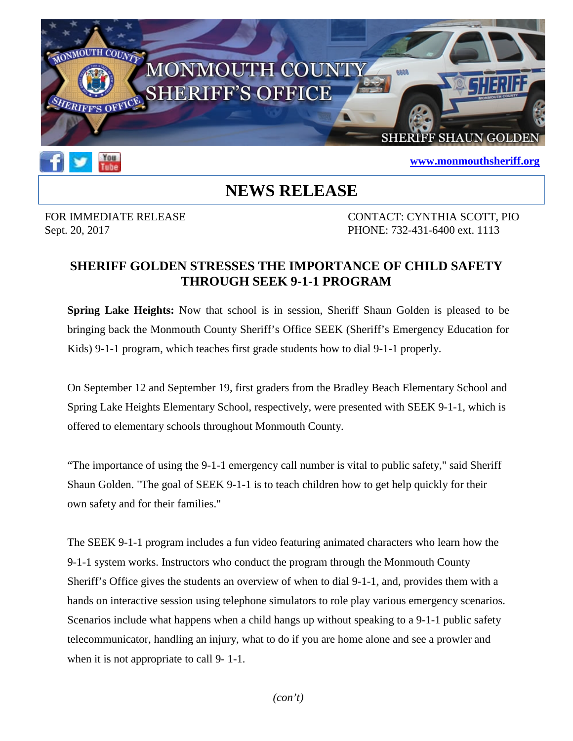



## **[www.monmouthsheriff.org](http://www.monmouthsheriff.org/)**

## **NEWS RELEASE**

FOR IMMEDIATE RELEASE CONTACT: CYNTHIA SCOTT, PIO Sept. 20, 2017 **PHONE:** 732-431-6400 ext. 1113

## **SHERIFF GOLDEN STRESSES THE IMPORTANCE OF CHILD SAFETY THROUGH SEEK 9-1-1 PROGRAM**

**Spring Lake Heights:** Now that school is in session, Sheriff Shaun Golden is pleased to be bringing back the Monmouth County Sheriff's Office SEEK (Sheriff's Emergency Education for Kids) 9-1-1 program, which teaches first grade students how to dial 9-1-1 properly.

On September 12 and September 19, first graders from the Bradley Beach Elementary School and Spring Lake Heights Elementary School, respectively, were presented with SEEK 9-1-1, which is offered to elementary schools throughout Monmouth County.

"The importance of using the 9-1-1 emergency call number is vital to public safety," said Sheriff Shaun Golden. "The goal of SEEK 9-1-1 is to teach children how to get help quickly for their own safety and for their families."

The SEEK 9-1-1 program includes a fun video featuring animated characters who learn how the 9-1-1 system works. Instructors who conduct the program through the Monmouth County Sheriff's Office gives the students an overview of when to dial 9-1-1, and, provides them with a hands on interactive session using telephone simulators to role play various emergency scenarios. Scenarios include what happens when a child hangs up without speaking to a 9-1-1 public safety telecommunicator, handling an injury, what to do if you are home alone and see a prowler and when it is not appropriate to call 9- 1-1.